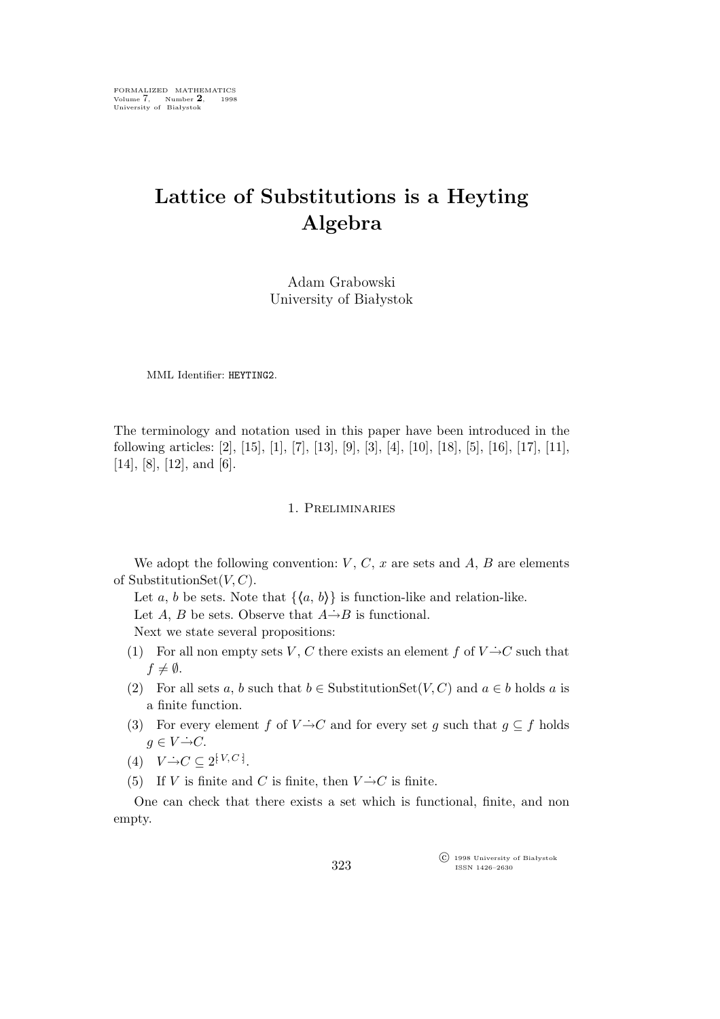# **Lattice of Substitutions is a Heyting Algebra**

Adam Grabowski University of Białystok

MML Identifier: HEYTING2.

The terminology and notation used in this paper have been introduced in the following articles: [2], [15], [1], [7], [13], [9], [3], [4], [10], [18], [5], [16], [17], [11],  $[14]$ ,  $[8]$ ,  $[12]$ , and  $[6]$ .

### 1. Preliminaries

We adopt the following convention:  $V, C, x$  are sets and  $A, B$  are elements of SubstitutionSet $(V, C)$ .

Let a, b be sets. Note that  $\{\langle a, b \rangle\}$  is function-like and relation-like. Let A, B be sets. Observe that  $A\rightarrow B$  is functional. Next we state several propositions:

- (1) For all non empty sets V, C there exists an element f of  $V \rightarrow C$  such that  $f \neq \emptyset$ .
- (2) For all sets a, b such that  $b \in \text{SubstitutionSet}(V, C)$  and  $a \in b$  holds a is a finite function.
- (3) For every element f of  $V \rightarrow C$  and for every set g such that  $g \subseteq f$  holds  $q \in V \rightarrow C$ .
- $(4) \quad V \rightarrow C \subseteq 2^{[V, C]}.$
- (5) If V is finite and C is finite, then  $V \rightarrow C$  is finite.

One can check that there exists a set which is functional, finite, and non empty.

> °c 1998 University of Białystok ISSN 1426–2630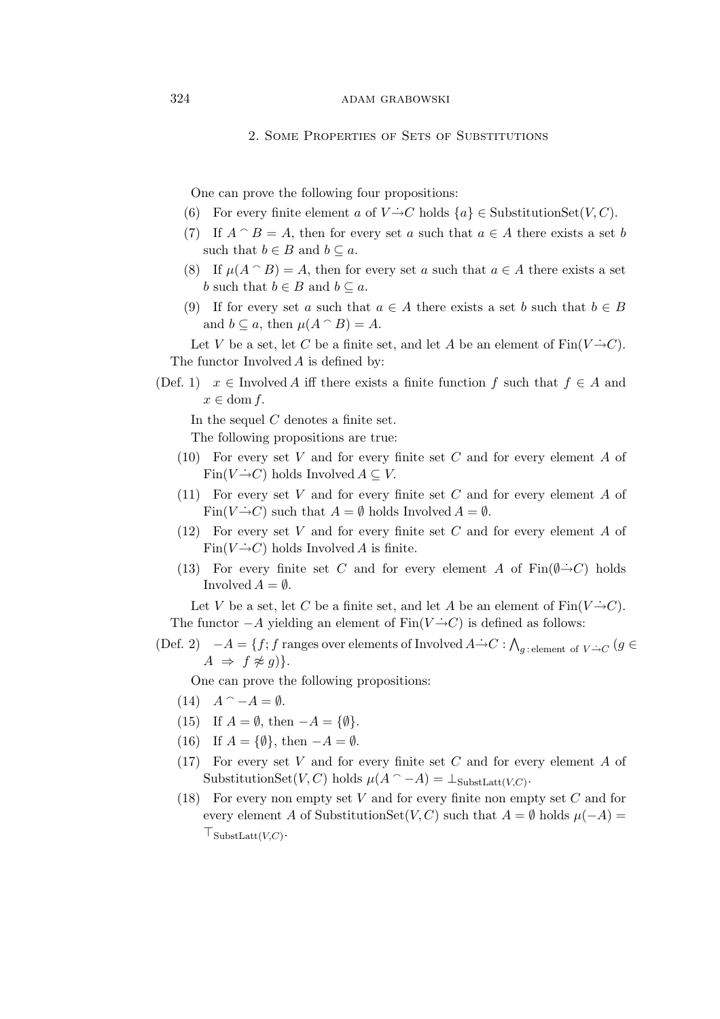# 324 ADAM GRABOWSKI

#### 2. Some Properties of Sets of Substitutions

One can prove the following four propositions:

- (6) For every finite element a of  $V \rightarrow C$  holds  $\{a\} \in \text{SubstitutionSet}(V, C)$ .
- (7) If  $A \cap B = A$ , then for every set a such that  $a \in A$  there exists a set b such that  $b \in B$  and  $b \subseteq a$ .
- (8) If  $\mu(A \cap B) = A$ , then for every set a such that  $a \in A$  there exists a set *b* such that  $b \in B$  and  $b \subseteq a$ .
- (9) If for every set a such that  $a \in A$  there exists a set b such that  $b \in B$ and  $b \subseteq a$ , then  $\mu(A \cap B) = A$ .

Let V be a set, let C be a finite set, and let A be an element of  $\text{Fin}(V \rightarrow C)$ . The functor Involved A is defined by:

(Def. 1)  $x \in$  Involved A iff there exists a finite function f such that  $f \in A$  and  $x \in \text{dom } f$ .

In the sequel  $C$  denotes a finite set.

The following propositions are true:

- (10) For every set V and for every finite set C and for every element A of Fin( $V \rightarrow C$ ) holds Involved  $A \subseteq V$ .
- (11) For every set V and for every finite set C and for every element A of Fin( $V \rightarrow C$ ) such that  $A = \emptyset$  holds Involved  $A = \emptyset$ .
- (12) For every set V and for every finite set C and for every element A of Fin( $V \rightarrow C$ ) holds Involved A is finite.
- (13) For every finite set C and for every element A of  $\text{Fin}(\emptyset \rightarrow C)$  holds Involved  $A = \emptyset$ .

Let V be a set, let C be a finite set, and let A be an element of  $\text{Fin}(V \rightarrow C)$ . The functor  $-A$  yielding an element of  $\text{Fin}(V \to C)$  is defined as follows:

(Def. 2)  $-A = \{f; f \text{ ranges over elements of Involved } A \rightarrow C : \bigwedge_{g \text{: element of } V \rightarrow C} (g \in C) \}$  $A \Rightarrow f \not\approx g$ }.

One can prove the following propositions:

- $(14)$   $A^{\frown} -A = \emptyset$ .
- (15) If  $A = \emptyset$ , then  $-A = \{\emptyset\}.$
- (16) If A = *{∅}*, then *−*A = *∅*.
- (17) For every set V and for every finite set C and for every element A of SubstitutionSet( $V, C$ ) holds  $\mu(A \cap -A) = \perp_{\text{SubstLatt}(V,C)}$ .
- (18) For every non empty set  $V$  and for every finite non empty set  $C$  and for every element A of SubstitutionSet(V, C) such that  $A = \emptyset$  holds  $\mu(-A) =$ *⊤*SubstLatt(V,C) .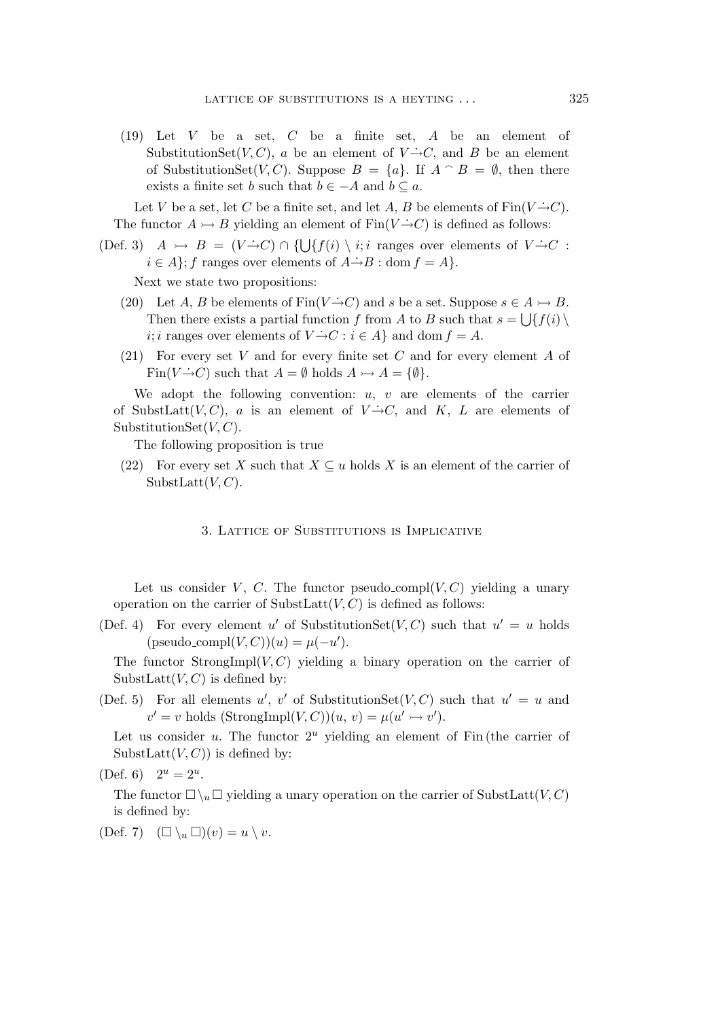(19) Let V be a set, C be a finite set, A be an element of SubstitutionSet(V, C), a be an element of  $V \rightarrow C$ , and B be an element of SubstitutionSet(V, C). Suppose  $B = \{a\}$ . If  $A \cap B = \emptyset$ , then there exists a finite set b such that  $b \in -A$  and  $b \subseteq a$ .

Let V be a set, let C be a finite set, and let A, B be elements of  $\text{Fin}(V \rightarrow C)$ . The functor  $A \rightarrow B$  yielding an element of Fin( $V \rightarrow C$ ) is defined as follows:

(Def. 3)  $A \rightarrow B = (V \rightarrow C) \cap \{ \bigcup \{ f(i) \setminus i : i \text{ ranges over elements of } V \rightarrow C \}$  $i \in A$ ; f ranges over elements of  $A \rightarrow B$  : dom  $f = A$ .

Next we state two propositions:

- (20) Let A, B be elements of Fin( $V \rightarrow C$ ) and s be a set. Suppose  $s \in A \rightarrow B$ . Then there exists a partial function f from A to B such that  $s = \bigcup \{f(i) \setminus f(j) \}$ *i*; *i* ranges over elements of  $V \rightarrow C : i \in A$ } and dom  $f = A$ .
- (21) For every set V and for every finite set C and for every element A of Fin( $V \rightarrow C$ ) such that  $A = \emptyset$  holds  $A \rightarrowtail A = \{\emptyset\}.$

We adopt the following convention:  $u, v$  are elements of the carrier of SubstLatt $(V, C)$ , a is an element of  $V \rightarrow C$ , and K, L are elements of SubstitutionSet $(V, C)$ .

The following proposition is true

(22) For every set X such that  $X \subseteq u$  holds X is an element of the carrier of SubstLatt $(V, C)$ .

## 3. Lattice of Substitutions is Implicative

Let us consider V, C. The functor pseudo\_compl( $V, C$ ) yielding a unary operation on the carrier of SubstLatt $(V, C)$  is defined as follows:

(Def. 4) For every element u' of SubstitutionSet(V, C) such that  $u' = u$  holds  $(pseudo\_compl(V, C))(u) = \mu(-u').$ 

The functor StrongImpl( $V, C$ ) yielding a binary operation on the carrier of SubstLatt $(V, C)$  is defined by:

(Def. 5) For all elements  $u'$ ,  $v'$  of SubstitutionSet(V, C) such that  $u' = u$  and  $v' = v$  holds  $(\text{StrongImpl}(V, C))(u, v) = \mu(u' \rightarrow v').$ 

Let us consider  $u$ . The functor  $2^u$  yielding an element of Fin (the carrier of SubstLatt $(V, C)$  is defined by:

(Def. 6) 
$$
2^u = 2^u
$$
.

The functor  $\Box \setminus_u \Box$  yielding a unary operation on the carrier of SubstLatt $(V, C)$ is defined by:

(Def. 7)  $(\Box \setminus_u \Box)(v) = u \setminus v$ .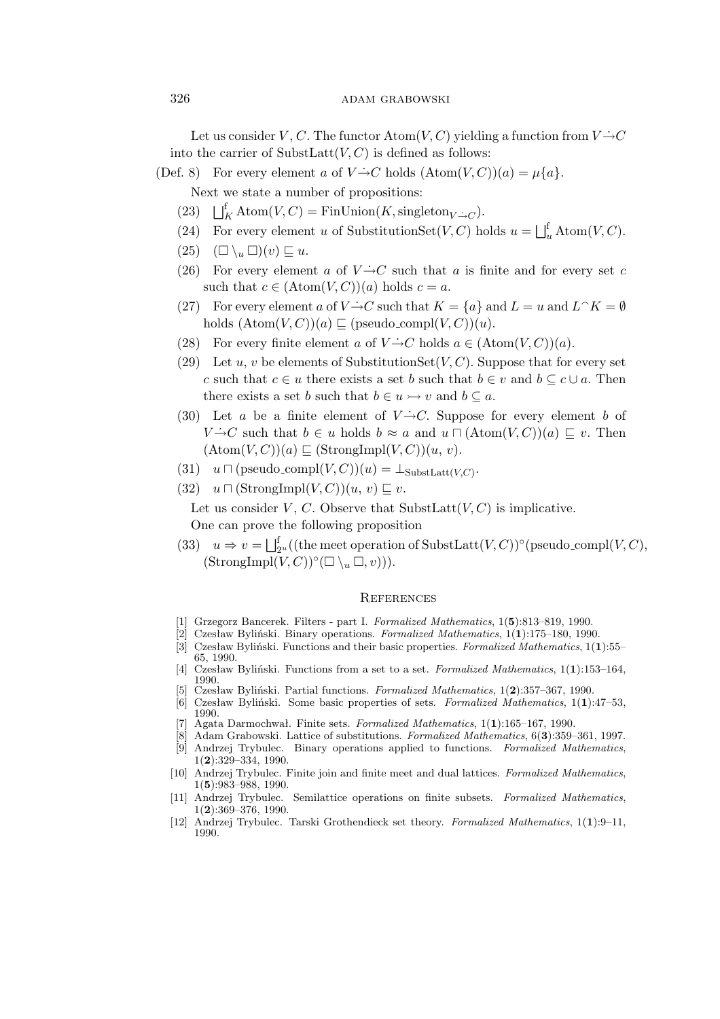Let us consider V, C. The functor  $\text{Atom}(V, C)$  yielding a function from  $V \rightarrow C$ into the carrier of SubstLatt $(V, C)$  is defined as follows:

(Def. 8) For every element a of  $V \rightarrow C$  holds  $(Atom(V, C))(a) = \mu\{a\}.$ 

Next we state a number of propositions:

- (23)  $\bigsqcup_{K}^{\text{f}} \text{Atom}(V, C) = \text{FinUnion}(K, \text{singleton}_{V \rightarrow C}).$
- (24) For every element u of SubstitutionSet $(V, C)$  holds  $u = \bigsqcup_{u}^{\text{f}} \text{Atom}(V, C)$ .
- $(25)$   $(\Box \setminus_u \Box)(v) \sqsubseteq u.$
- (26) For every element a of  $V \rightarrow C$  such that a is finite and for every set c such that  $c \in (Atom(V, C))(a)$  holds  $c = a$ .
- (27) For every element a of  $V \rightarrow C$  such that  $K = \{a\}$  and  $L = u$  and  $L \cap K = \emptyset$ holds  $(Atom(V, C))(a) \sqsubseteq (pseudo\_compl(V, C))(u)$ .
- (28) For every finite element a of  $V \rightarrow C$  holds  $a \in (\text{Atom}(V, C))(a)$ .
- (29) Let u, v be elements of SubstitutionSet $(V, C)$ . Suppose that for every set c such that  $c \in u$  there exists a set b such that  $b \in v$  and  $b \subseteq c \cup a$ . Then there exists a set *b* such that  $b \in u \rightarrow v$  and  $b \subseteq a$ .
- (30) Let a be a finite element of  $V \rightarrow C$ . Suppose for every element b of  $V \rightarrow C$  such that  $b \in u$  holds  $b \approx a$  and  $u \sqcap (\text{Atom}(V, C))(a) \sqsubseteq v$ . Then  $(\text{Atom}(V, C))(a) \sqsubseteq (\text{StrongImpl}(V, C))(u, v).$
- (31)  $u \sqcap$  (pseudo\_compl $(V, C))(u) = \perp_{\text{SubstLatt}(V, C)}$ .
- $(32)$   $u \sqcap (\text{StrongImpl}(V, C))(u, v) \sqsubseteq v.$

Let us consider V, C. Observe that SubstLatt $(V, C)$  is implicative.

One can prove the following proposition

(33)  $u \Rightarrow v = \bigsqcup_{2^u}^f((\text{the meet operation of SubstLatt}(V, C))^{\circ}(\text{pseudo-compl}(V, C)),$  $(\text{StrongImpl}(V, C))^\circ(\Box \setminus_u \Box, v)).$ 

#### **REFERENCES**

- [1] Grzegorz Bancerek. Filters part I. *Formalized Mathematics*, 1(**5**):813–819, 1990.
- [2] Czesław Byliński. Binary operations. *Formalized Mathematics*, 1(**1**):175–180, 1990.
- [3] Czesław Byliński. Functions and their basic properties. *Formalized Mathematics*, 1(**1**):55– 65, 1990.
- [4] Czesław Byliński. Functions from a set to a set. *Formalized Mathematics*, 1(**1**):153–164, 1990.
- [5] Czesław Byliński. Partial functions. *Formalized Mathematics*, 1(**2**):357–367, 1990.
- [6] Czesław Byliński. Some basic properties of sets. *Formalized Mathematics*, 1(**1**):47–53, 1990.
- [7] Agata Darmochwał. Finite sets. *Formalized Mathematics*, 1(**1**):165–167, 1990.
- [8] Adam Grabowski. Lattice of substitutions. *Formalized Mathematics*, 6(**3**):359–361, 1997. [9] Andrzej Trybulec. Binary operations applied to functions. *Formalized Mathematics*, 1(**2**):329–334, 1990.
- [10] Andrzej Trybulec. Finite join and finite meet and dual lattices. *Formalized Mathematics*, 1(**5**):983–988, 1990.
- [11] Andrzej Trybulec. Semilattice operations on finite subsets. *Formalized Mathematics*, 1(**2**):369–376, 1990.
- [12] Andrzej Trybulec. Tarski Grothendieck set theory. *Formalized Mathematics*, 1(**1**):9–11, 1990.